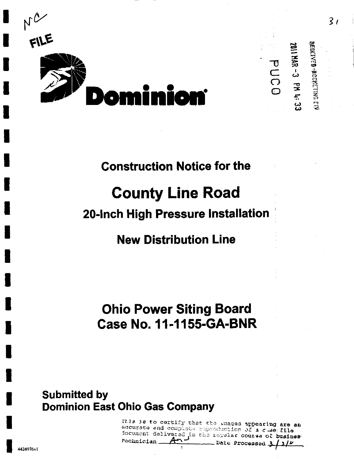

2011 NAR - 3 PM 4: 33 PUCO

**MERENYED -BOCKETING EIV** 

## **Construction Notice for the**

# **County Line Road**

## 20-Inch High Pressure Installation

## **New Distribution Line**

## **Ohio Power Siting Board Case No. 11-1155-GA-BNR**

## **Submitted by Dominion East Ohio Gas Company**

fils is to certify that the mages appearing are an accurate and complete reproduction of a clue file focument delivered in the regular course of busines Pechnician Date Processed 3 / 3 / M

 $\overline{3}t$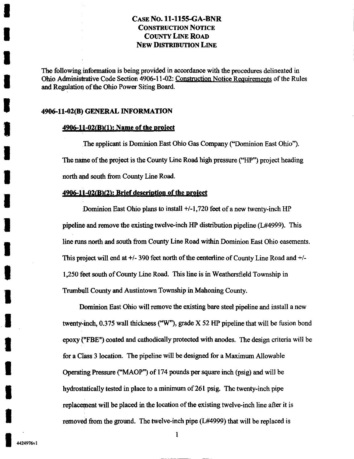The following information is being provided in accordance with the procedures delineated in Ohio Administrative Code Section 4906-11-02: Constmction Notice Requirements of the Rules and Regulation of the Ohio Power Siting Board.

#### 4906-11-02(8) GENERAL INFORMATION

#### 4906-11-02(B)(1): Name of the project

The applicant is Dominion East Ohio Gas Company ("Dominion East Ohio"). The name of the project is the County Line Road high pressure ("HP") project heading north and south from County Line Road.

#### $4906-11-02(B)(2)$ : Brief description of the project

Dominion East Ohio plans to install +/-1,720 feet of a new twenty-inch HP pipeline and remove the existing twelve-inch HP distribution pipeline (L#4999). This line runs north and south from County Line Road within Dominion East Ohio easements. This project will end at  $+/-$  390 feet north of the centerline of County Line Road and  $+/-$ 1,250 feet south of Covmty Line Road. This line is in Weathersfield Township in Trumbull County and Austintown Township in Mahoning County.

Dominion East Ohio will remove the existing bare steel pipeline and install a new twenty-inch, 0.375 wall thickness ("W"), grade X 52 HP pipeline that will be fusion bond epoxy ("FEE") coated and cathodically protected with anodes. The design criteria will be for a Class 3 location. The pipeline will be designed for a Maximum Allowable Operating Pressure ("MAOP") of 174 pounds per square inch (psig) and will be hydrostatically tested in place to a minimum of 261 psig. The twenty-inch pipe replacement will be placed in the location of the existing twelve-inch line after it is removed from the ground. The twelve-inch pipe (L#4999) that will be replaced is

 $\mathbf{1}$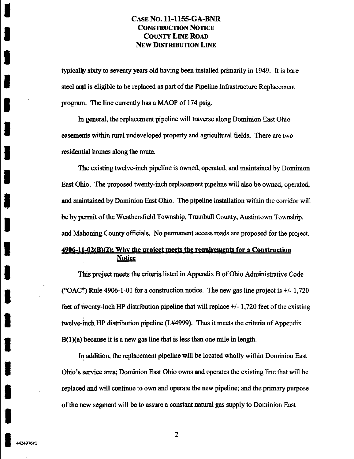typically sixty to seventy years old having been installed primarily in 1949. It is bare steel and is eligible to be replaced as part of the Pipeline Infrastructure Replacement program. The line currently has a MAOP of 174 psig.

In general, the replacement pipeline will fraverse along Dominion East Ohio easements within rural undeveloped property and agricultural fields. There are two residential homes along the route.

The existing twelve-inch pipeline is owned, operated, and maintained by Dominion East Ohio. The proposed twenty-inch replacement pipeline will also be owned, operated, and maintained by Dominion East Ohio. The pipeline installation within the corridor will be by permit of the Weathersfield Township, Trumbull County, Austintown Township, and Mahoning County officials. No permanent access roads are proposed for the project.

### 4906-11-02(B)(2): Why the project meets the requirements for a Construction **Notice**

This project meets the criteria listed in Appendix B of Ohio Administrative Code ("OAC") Rule 4906-1-01 for a construction notice. The new gas line project is  $+/-1,720$ feet of twenty-inch HP distribution pipeline that will replace +/-1,720 feet of the existing twelve-inch HP distribution pipeline (L#4999). Thus it meets the criteria of Appendix  $B(1)(a)$  because it is a new gas line that is less than one mile in length.

In addition, the replacement pipeline will be located wholly within Dominion East Ohio's service area; Dominion East Ohio owns and operates the existing line that will be replaced and will continue to own and operate the new pipeline; and the primary purpose of the new segment will be to assure a constant natural gas supply to Dominion East

 $\overline{2}$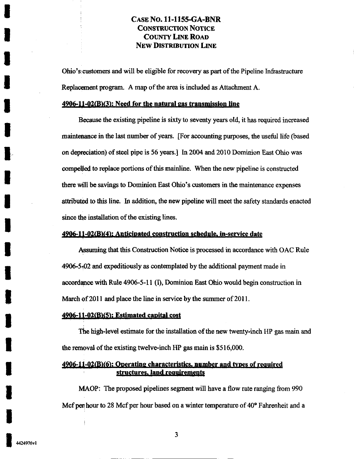Ohio's customers and will be eligible for recovery as part of the Pipeline Infrastructure Replacement program. A map of the area is included as Attachment A.

#### $4906-11-02(B)(3)$ : Need for the natural gas transmission line

Because the existing pipeline is sixty to seventy years old, it has required increased maintenance in the last number of years. [For accounting purposes, the useful life (based on depreciation) of steel pipe is 56 years.] In 2004 and 2010 Dominion East Ohio was compelled to replace portions of this mainline. When the new pipeline is constructed ihere will be savings to Dominion East Ohio's customers in the maintenance expenses attributed to this line. In addition, the new pipeline will meet the safety standards enacted since the installation of the existing lines.

#### 4906-11-02(B)(4): Anticipated construction schedule, in-service date

Assuming that this Construction Notice is processed in accordance with OAC Rule 4906-5-t02 and expeditiously as contemplated by the additional payment made in accordance with Rule 4906-5-11 (I), Dominion East Ohio would begin construction in March of 2011 and place the line in service by the summer of 2011.

#### 4906-11-02(B)(5): Estimated capital cost

The high-level estimate for the installation of the new twenty-inch HP gas main and the removal of the existing twelve-inch HP gas main is \$516,000.

#### $4906-11-02$  (B)(6): Operating characteristics, number and types of required structures, land requirements

MAOP: The proposed pipelines segment will have a flow rate ranging from 990 Mcf peri hour to 28 Mcf per hour based on a winter temperature of 40° Fahrenheit and a

I

3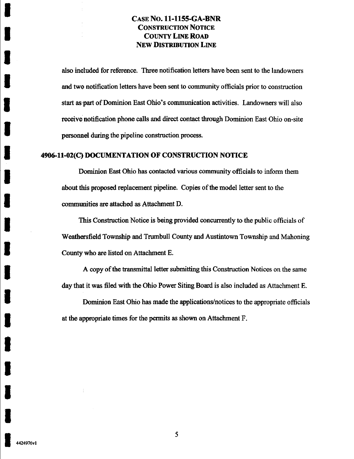also included for reference. Three notification letters have been sent to the landowners and two notification letters have been sent to community officials prior to construction start as part of Dominion East Ohio's communication activities. Landowners will also receive notification phone calls and direct contact through Dominion East Ohio on-site personnel during the pipeline construction process.

#### 4906-ll-02(C) DOCUMENTATION OF CONSTRUCTION NOTICE

Dominion East Ohio has contacted various community officials to inform them about this proposed replacement pipeline. Copies of the model letter sent to the communities are attached as Attachment D.

This Construction Notice is being provided concurrentiy to the public officials of Weathersfield Township and Trumbull County and Austintown Township and Mahoning County who are listed on Attachment E.

A copy of the fransmittal letter submitting this Construction Notices on the same day that it was filed with the Ohio Power Siting Board is also included as Attachment E.

Dominion East Ohio has made the applications/notices to the appropriate officials at the appropriate times for the permits as shown on Attachment F.

5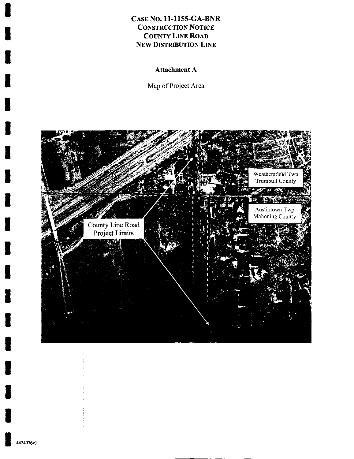Attachment A

Map of Project Area



I

I

I

I

I

I

I

I

I

I

I

I

I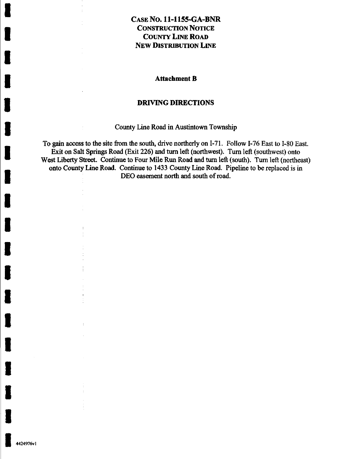#### Attachment B

#### DRIVING DIRECTIONS

County Line Road in Austintown Township

To gain access to the site from the south, drive northerly on I-71. Follow I-76 East to I-80 East. Exit on Salt Springs Road (Exit 226) and tum left (northwest). Tum left (southwest) onto West Liberty Street. Continue to Four Mile Run Road and tum left (south). Tum left (northeast) onto Covmty Line Road. Continue to 1433 County Line Road. Pipeline to be replaced is in DEO easement north and south of road.

I

4424976vl

j.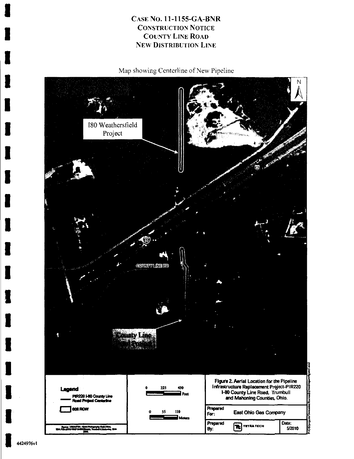Map showing Centerline of New Pipeline



I 4424976vl

 $\blacksquare$ 

I

I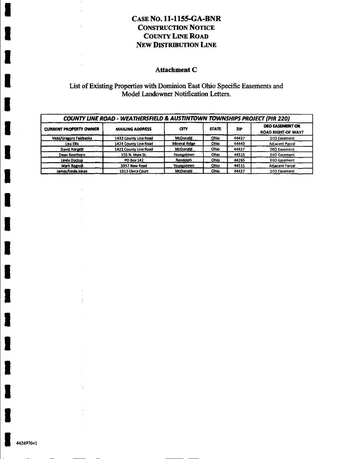#### Attachment C

List of Existing Properties with Dominion East Ohio Specific Easements and Model Landowner Notification Letters.

| <b>COUNTY LINE ROAD - WEATHERSFIELD &amp; AUSTINTOWN TOWNSHIPS PROJECT (PIR 220)</b> |                        |                      |              |            |                                                     |  |
|--------------------------------------------------------------------------------------|------------------------|----------------------|--------------|------------|-----------------------------------------------------|--|
| <b>CURRENT PROPERTY OWNER</b>                                                        | <b>MAILING ADDRESS</b> | <b>GTY</b>           | <b>STATE</b> | <b>ZIP</b> | <b>DEO EASEMENT OR</b><br><b>ROAD RIGHT-OF WAY?</b> |  |
| <b>Vicki/Gregory Fairbanks</b>                                                       | 1433 County Line Road  | <b>McDonald</b>      | Ohio         | 44437      | <b>DEO Easement</b>                                 |  |
| Lisa Ellis                                                                           | 1424 County Line Road  | <b>Mineral Ridge</b> | Ohio         | 44440      | <b>Adjacent Parcel</b>                              |  |
| David Hargett                                                                        | 1421 County Line Road  | <b>McDonald</b>      | Ohio         | 44437      | <b>DEO</b> Easement                                 |  |
| Dean Rowthorn                                                                        | 155 N. Main St.        | Youngstown           | Ohio         | 44515      | <b>DEO Easement</b>                                 |  |
| Linda Dockus                                                                         | <b>PO Box 142</b>      | Randolph             | Ohio         | 44265      | <b>DEO Easement</b>                                 |  |
| Mark Bagnoli                                                                         | 3937 New Road          | Youngstown           | Ohio         | 44515      | <b>Adjacent Parcel</b>                              |  |
| James/Linda Jones                                                                    | 1013 Elvira Court      | McDonald             | Ohio         | 44437      | <b>DEO Easement</b>                                 |  |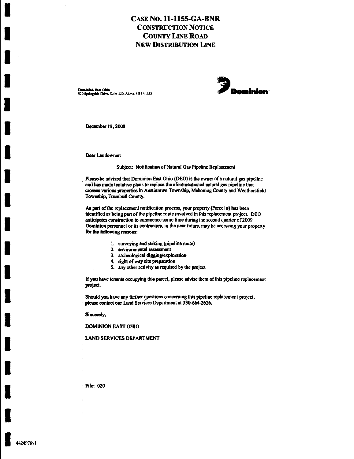D^niaioa East Ohio -^Mr W^f^amAwA^^M^



December 18, 2008

Dear Landowner.

#### Subject: Notification of Natural Gas Pipeline Replacement

Please be advised that Dominion East Ohio (DEO) is the owner of a natural gas pipeline and has made tentative plans to replace the aforementioned natural gas pipeline that crosses various properties in Austintown Township, Mahoning County and Weathersfield Township, Trumbull County.

As part of the replacement notification process, your property (Parcel #) has been identified as being part of the pipeline route involved in this replacement project. DEO anticipates construction to commence some time during the second quarter of 2009. Dominion personnel or its contractors, in the near fiiture, may be accessing your property for the following reasons:

- 1. surveying and staking (pipeline route)
- 2. environmental assessment
- 3. archeological digging/exploration
- 4. right of way site preparation
- 5. any other activity as required by the project

If you have tenants occupying this parcel, please advise them of this pipeline replacement project.

Should you have any further questions conceming this pipeline replacement project, please contact our Land Services Department at 330-664-2626.

Sincerely,

DOMINION EAST OHIO

#### LAND SERVICES DEPARTMENT

File: 020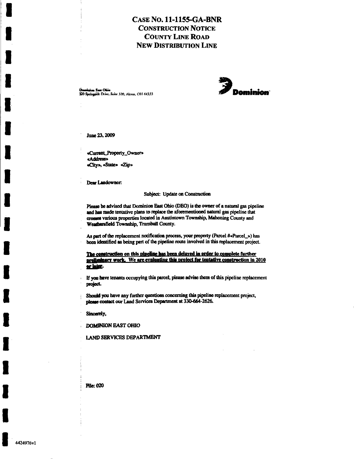Demision Ean Ohio (1986)<br>320 Springside Drive, Suite 320, Akron. OH 4433i W OH PominiMon (1989)



June 23.2009

«Current\_Property\_Owner» «Address» «City». «State» «Zip»

Dear Landowner:

Subject: Update on Construction

Please be advised that Dominion East Ohio (DEO) is the owner of a natural gas pipeline and has made tentative plans to replace the aforementioned natural gas pipeline that crosses various properties located in Austintown Township, Mahoning County and Weathersfield Township, Trumbull County.

As part of the replacement notification process, your property (Parcel #«Parcel\_») has been identified as being part of the pipeline route involved in this replacement project.

The construction on this pipeline has been delayed in order to complete further preliminary work. We are evaluating this project for tentative construction in  $2010$ or later.

If you have tenants occupying this parcel, please advise them of this pipeline replacement project.

Should you have any further questions concerning this pipeline replacement project, please contact our Land Services Depwtment at 330-664-2626.

Sincerely,

DOMINION EAST OHIO

LAND SERVICES DEPARTMENT

Pile: 020

I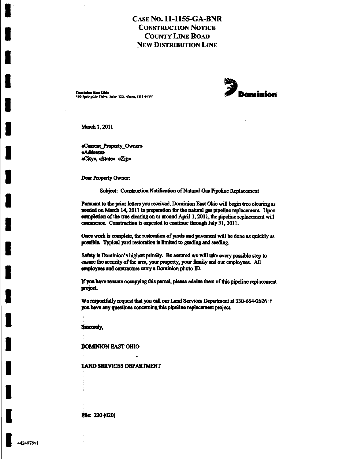Deminion Enst Ohio 320 Springside Drive, Suite 320, Akron, OH 44333



March 1, 2011

ć,

«Current\_Property\_Owner» «Address» «City», «State» «Zip»

Dear Property Owner:

Subject: Construction Notification of Natural Gas Pipeline Replacement

Pursuant to the prior letters you received, Dominion East Ohio will begin tree clearing as needed on March 14, 2011 in preparation for the natural gas pipeline replacement. Upon completion of the tree clearing on or around April 1, 2011, the pipeline replacement will commence. Construction is expected to continue through July 31, 2011.

Once work is complete, the restoration of yards and pavement will be done as quickly as possible. Typical yard restoration is limited to grading and seeding.

\$afety is Dominion's highest priority. Be assured we will take every possible step to ensure the security of the area, your property, your family and our employees. All employees and contractors carry a Dominion photo ID.

If you have tenants occupying this parcel, please advise them of this pipeline replacement project.

We respectfully request that you call our Land Services Department at 330-664-2626 if you have any questions concerning this pipeline replacement project.

Sincerely,

**DOMINION EAST OHIO** 

**LAND SERVICES DEPARTMENT** 

File: 220 (020)

 $\cdot$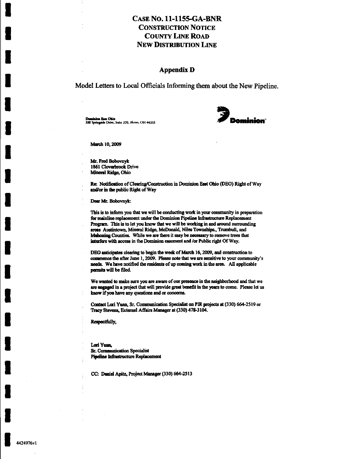#### **Appendix D**

Model Letters to Local Officials Informing them about the New Pipeline.

Dominica East Ohio 320 Springside Drive, Suite 320, Akron, OH 44333



March 10, 2009

Mr. Fred Bobovnyk 1861 Cloverbrook Drive Mineral Ridge, Ohio

Re: Notification of Clearing/Construction in Dominion East Ohio (DEO) Right of Way and/or in the public Right of Way

Dear Mr. Bobovnyk:

This is to inform you that we will be conducting work in your community in preparation for mainline replacement under the Dominion Pipeline Infrastructure Replacement Program. This is to let you know that we will be working in and around surrounding areas Austintown, Mineral Ridge, McDonald, Niles Townships., Trumbull, and Mahoning Counties. While we are there it may be necessary to remove trees that interfere with access in the Dominion casement and /or Public right Of Way.

DEO anticipates clearing to begin the week of March 16, 2009, and construction to commence the after June 1, 2009. Please note that we are sensitive to your community's needs. We have notified the residents of up coming work in the area. All applicable permits will be filed.

We wanted to make sure you are aware of our presence in the neighborhood and that we are angaged in a project that will provide great benefit in the years to come. Please let us know if you have any questions and or concerns.

Contact Lori Yuan, Sr. Communication Specialist on PIR projects at (330) 664-2519 or Tracy Stevens, External Affairs Manager at (330) 478-3104.

Respectfully,

Lori Yuan, Sr. Communication Specialist Pipeline Infrastructure Replacement

CC: Daniel Apitz, Project Manager (330) 664-2513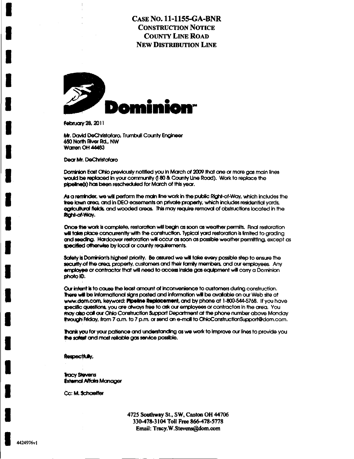

February 28, 2011

Mr. David DeChristofaro, Trumbull County Engineer 650 North River Rd., NW **Warren OH 44483** 

Dear Mt. DeChristofaro

Dominion East Ohio previously notified you in March of 2009 that one or more gas main lines would be replaced in your community (180 & County Line Road). Work to replace the pipeline(s) has been rescheduled for March of this year.

As a rentinder, we will perform the main line work in the public Right-of-Way, which includes the tree lawn area, and in DEO easements on private property, which includes residential yards, agricultural fields, and wooded areas. This may require removal of obstructions located in the Right-of-Way.

Once the work is complete, restoration will begin as soon as weather permits. Final restoration will take place concurrently with the construction. Typical yard restoration is limited to grading and seeding. Hardcover restoration will occur as soon as possible weather permitting, except as specified otherwise by local or county requirements.

Safety is Dominion's highest priority. Be assured we will take every possible step to ensure the security of the area, property, customers and their family members, and our employees. Any employee or contractor that will need to access inside gas equipment will carry a Dominion photo ID.

Our intent is to cause the least amount of inconvenience to customers during construction. There will be informational signs posted and information will be available on our Web site at www.dom.com, keyword: Pipeline Replacement, and by phone at 1-800-544-5768. If you have specific questions, you are always free to ask our employees or contractors in the area. You may also call our Ohio Construction Support Department at the phone number above Monday through Friday, from 7 a.m. to 7 p.m. or send an e-mail to OhioConstructionSupport@dom.com.

Thank you for your patience and understanding as we work to improve our lines to provide you the safest and most reliable gas service possible.

Respectfully,

**Tracy Stevens External Affairs Manager** 

Cc: M. Schaeffer

4725 Southway St., SW, Canton OH 44706 330-478-3104 Toll Free 866-478-5778 Email: Tracy.W.Stevens@dom.com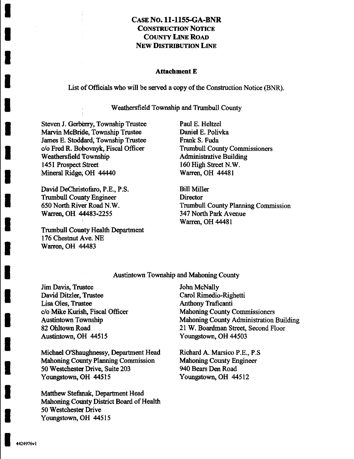#### Attachment E

List of Officials who will be served a copy of the Construction Notice (BNR).

Weathersfield Township and Trumbull County

Steven J. Gerberry, Township Trustee Marvin McBride, Township Trustee James E. Stoddard, Township Trustee c/o Fred R. Bobovnyk, Fiscal Officer Weathersfield Township 1451 Prospect Street Mineral Ridge, OH 44440

David DeChristofaro, P.E., P.S. Trumbull County Engineer 650 North River Road N.W. Warren, OH 44483-2255

Trumbull County Health Department 176 Chestnut Ave. NE Warren, OH 44483

Paul E. Heltzel Daniel E. Polivka Frank S. Fuda Trumbull County Commissioners Administrative Building 160 High Street N.W. Warren, OH 44481

Bill Miller **Director** Trumbull County Planning Commission 347 North Park Avenue Warren, OH 44481

#### Austintown Township and Mahoning County

Jim Davis, Trustee David Ditzler, Trustee Lisa Oles, Trustee c/o Mike Kurislh, Fiscal Officer Austintown Township 82 Ohltown Road Austintown, OH 44515

Michael O'Shaughnessy, Department Head Mahoning County Planning Commission 50 Westchester Drive, Suite 203 Youngstown, OH 44515

Matthew Stefanak, Department Head Mahoning County District Board of Health 50 Westchester Drive Youngstown, OH 44515

John McNally Carol Rimedio-Righetti Anthony Traficanti Mahoning County Commissioners Mahoning County Administration Building 21 W. Boardman Street, Second Floor Youngstown, OH 44503

Richard A. Marsico P.E., P.S Mahoning County Engineer 940 Bears Den Road Youngstown, OH 44512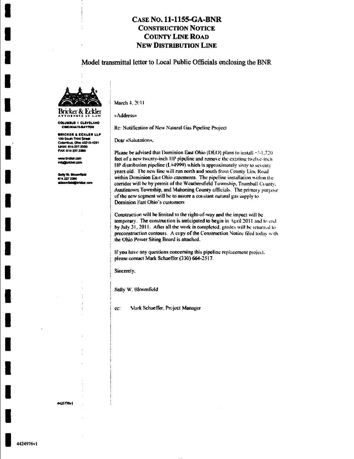#### Model transmittal letter to Local Public Officials enclosing the BNR



COLUMBUS I CLEVELAND CINCINNATI-BAYTON

BRICKER & ECKLER LLP 100 South Third Street

Colombus, Ohio 43215-4291 **MAIN: 614.227.2300** FAX: 614 227 2390

ww.bricker.com info@bridker.com

iv W. Bio

614.227.2368

March 4, 2011

«Address»

Re: Notification of New Natural Gas Pipeline Project

Dear «Salutation»,

Please be advised that Dominion East Ohio (DEO) plans to install +/-1,720 feet of a new twenty-inch HP pipeline and remove the existing twelve-inch HP distribution pipeline ( $L$ #4999) which is approximately sixty to seventy years old. The new line will run north and south from County Line Road within Dominion East Ohio casements. The pipeline installation within the corridor will be by permit of the Weathersfield Township, Trumbull County, Austintown Township, and Mahoning County officials. The primary purpose of the new segment will be to assure a constant natural gas supply to Dominion East Ohio's customers

Construction will be limited to the right-of-way and the impact will be temporary. The construction is anticipated to begin in April 2011 and to end by July 31, 2011. After all the work is completed, grades will be returned to preconstruction contours. A copy of the Construction Notice filed today with the Ohio Power Siting Board is attached.

If you have any questions concerning this pipeline replacement project. please contact Mark Schaeffer (330) 664-2517.

Sincerely,

Sally W. Bloomfield

ee: Mark Schaeffer, Project Manager

4425770v1

1424976v1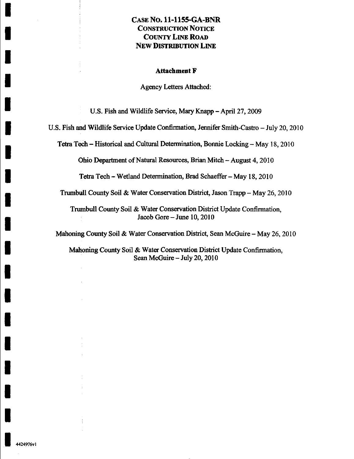#### Attachment F

Agency Letters Attached:

U.S. Fish and Wildlife Service, Mary Knapp - April 27, 2009

U.S. Fish and Wildlife Service Update Confirmation, Jennifer Smith-Castro - July 20,2010

Tetra Tech - Historical and Cultural Determination, Bonnie Locking - May 18,2010

Ohio Department of Natural Resources, Brian Mitch - August 4,2010

Tetra Tech - Wetland Determination, Brad Schaeffer - May 18,2010

Trumbull County Soil & Water Conservation District, Jason Trapp - May 26, 2010

Trumbull County Soil & Water Conservation District Update Confirmation, Jacob Gore - June 10, 2010

Mahoning County Soil & Water Conservation District, Sean McGuire - May 26, 2010

Mahoning County Soil & Water Conservation District Update Confirmation. Sean McGuire - July 20, 2010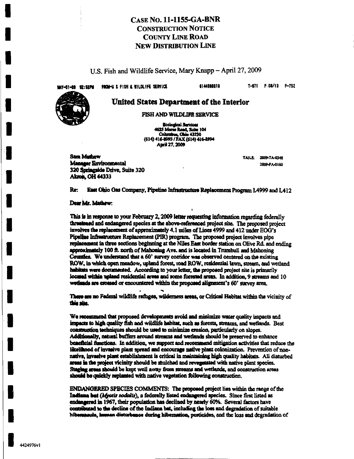U.S. Fish and Wildlife Service, Mary Knapp – April 27, 2009

FROM-U.S. FISH & WILDLIFE SERVICE WAY-61-09 02:52PM

6144696919

T-971 P.08/13 F-752

#### United States Department of the Interior

FISH AND WILDLIFE SERVICE

**Ecological Services** 4625 Morse Road, Suite 104<br>Columbus, Ohio 43230 (614) 416-8993 / FAX (614) 416-8994 April 27, 2009

**Sam Mathew** Manager Environmental 320 Springside Drive, Suite 320 **Akron, OH 44333** 

TAILS: 2009-TA-0348 2009-PA-0160

East Ohio Gas Company, Pipeline Infrastructure Replacement Program L4999 and L412 Re:

#### Dear Mr. Mathew:

This is in response to your February 2, 2009 letter requesting information regarding federally threatened and endangered species at the above-referenced project site. The proposed project involves the replacement of approximately 4.1 miles of Lines 4999 and 412 under EOG's Pineline Infrastructure Replacement (PIR) program. The proposed project involves pipe replacement in three sections beginning at the Niles East border station on Olive Rd. and ending approximately 100 ft. north of Mahoning Ave. and is located in Trumbull and Mahoning Counties. We understand that a 60' survey corridor was observed centered on the existing ROW, in which open meadow, upland forest, road ROW, residential lawn, stream, and wetland habitats were documented. According to your letter, the proposed project site is primarily located within upland residential areas and some forested areas. In addition, 9 streams and 10 wetlands are crossed or encountered within the proposed alignment's 60' survey area.

There are no Federal wildlife refuges, wilderness areas, or Critical Habitat within the vicinity of this size.

We recommend that proposed developments avoid and minimize water quality impacts and impacts to high quality fish and wildlife habitat, such as forests, streams, and wetlands. Best construction techniques should be used to minimize crosion, particularly on slopes. Additionally, natural buffers around streams and wetlands should be preserved to enhance beneficial functions. In addition, we support and recommend mitigation activities that reduce the likelihood of invasive plant spread and encourage native plant colonization. Prevention of nonnative, invasive plant establishment is critical in maintaining high quality habitats. All disturbed areas in the project vicinity should be mulched and revenetated with native plant species. Staging areas should be kept well away from streams and wetlands, and construction areas should be quickly replanted with native vegetation following construction.

ENDANGERED SPECIES COMMENTS: The proposed project lies within the range of the Indiana but (Afyotis socialis), a federally listed endangered species. Since first listed as endangered in 1967, their population has declined by nearly 60%. Several factors have contributed to the decline of the Indiana bat, including the loss and degradation of suitable hibernasula, human disturbance during hibernation, pesticides, and the loss and degradation of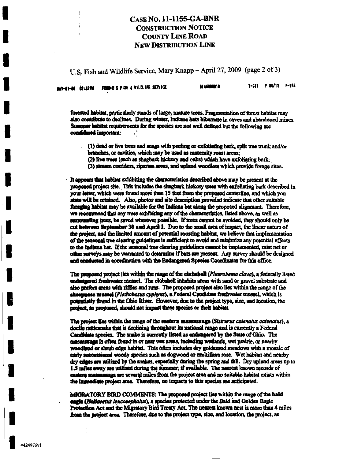U.S. Fish and Wildlife Service, Mary Knapp - April 27, 2009 (page 2 of 3)

|  | MAY-01-00 Q2:02PM FROM-U S FISH & WILDLIFE SERVICE | 8144898919 | T-971 P.09/13 F-752 |  |
|--|----------------------------------------------------|------------|---------------------|--|
|  |                                                    |            |                     |  |

forested habitat, particularly stands of large, mature trees. Fragmentation of forest habitat may also contribute to declines. During winter, Indiana bats hibernate in caves and abandoned mines. Summer habitat requirements for the species are not well defined but the following are considered important:

- (1) dead or live trees and snags with pecling or exfoliating bark, split tree trunk and/or branches, or cavities, which may be used as maternity roost areas;
	- (2) live trees (such as shagbark hickory and oaks) which have exfoliating bark;
- (3) stream corridors, riparian areas, and upland woodlots which provide forage sites.

It appears that habitat exhibiting the characteristics described above may be present at the proposed project site. This includes the shagbark hickory trees with exfoliating bark described in your letter, which were found more than 15 feet from the proposed centerline, and which you state will be retained. Also, photos and site description provided indicate that other suitable foraging habitat may be available for the Indiana bat along the proposed alignment. Therefore, we recommend that any trees exhibiting any of the characteristics, listed above, as well as surrounding trees, be saved wherever possible. If trees cannot be avoided, they should only be cut between September 30 and April 1. Due to the small area of impact, the linear nature of the project, and the limited amount of potential roosting habitat, we believe that implementation of the seasonal tree clearing guidelines is sufficient to avoid and minimize any potential effects to the Indiana bat. If the seasonal tree clearing guidelines cannot be implemented, mist net or other surveys may be warranted to determine if bats are present. Any survey should be designed and conducted in coordination with the Endangered Species Coordinator for this office.

The proposed project lies within the range of the clubshell (Pleurobema clava), a federally listed endangered freshwater mussel. The clubshell inhabits areas with sand or gravel substrate and also prefers areas with riffles and runs. The proposed project also lies within the range of the sheepness mussel (Plethobasus cyphyus), a Federal Candidate freshwater mussel, which is potentially found in the Ohio River. However, due to the project type, size, and location, the project, as proposed, should not impact these species or their habitat.

The project lies within the range of the eastern massarangs (Sistrurus catenatus catenatus), a doelle rattlesnake that is declining throughout its national range and is currently a Federal Candidate species. The snake is currently listed as endangered by the State of Ohio. The massessuge is often found in or near wet areas, including wetlands, wet prairie, or nearby woodland or shrub edge habitat. This often includes dry goldenrod meadows with a mosaic of early successional woody species such as dogwood or multiflora rose. Wet habitat and nearby dry edges are utilized by the snakes, especially during the spring and fall. Dry upland areas up to 1.5 miles away are utilized during the summer; if available. The nearest known records of casters massassuga are several miles from the project area and no suitable habitat exists within the immediate project area. Therefore, no impacts to this species are anticipated.

MIGRATORY BIRD COMMENTS: The proposed project lies within the range of the bald eagle (Haliaeetus leucocephalus), a species protected under the Bald and Golden Eagle Protection Act and the Migratory Bird Treaty Act. The nearest known nest is more than 4 miles from the project area. Therefore, due to the project type, size, and location, the project, as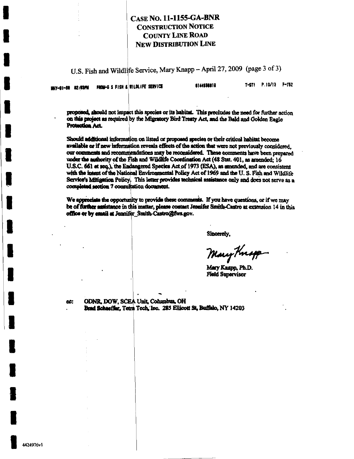U.S. Fish and Wildlife Service, Mary Knapp - April 27, 2009 (page 3 of 3)

|  | MAY-91-80 82:53PM FROM-U S FISH & VILDLIFE SERVICE |  | 6144688010 | T-971 P 10/13 F-752 |  |
|--|----------------------------------------------------|--|------------|---------------------|--|
|  |                                                    |  |            |                     |  |

proposed, should not impact this species or its habitat. This precludes the need for further action on this project as required by the Migratory Bird Treaty Act, and the Bald and Golden Eagle Protection Act.

Should additional information on listed or proposed species or their critical habitat become available or if new information reveals effects of the action that were not previously considered. our comments and recommendations may be reconsidered. These comments have been prepared under the authority of the Fish and Wildlife Coordination Act (48 Stat. 401, as amended; 16 U.S.C. 661 et seq.), the Endangered Species Act of 1973 (ESA), as amended, and are consistent with the intent of the National Environmental Policy Act of 1969 and the U.S. Fish and Wildlife Service's Mitigation Policy. This letter provides technical assistance only and does not serve as a completed section 7 consultation document.

We appreciate the opportunity to provide these comments. If you have questions, or if we may be of further assistance in this matter, please contact Jennifer Smith-Castro at extension 14 in this office or by email at Jennifer Smith-Castro@fws.gov.

Sincerely.

Mary Knapp

Mary Knapp, Ph.D. **Field Supervisor** 

ODNR, DOW, SCEA Unit, Columbus, OH cc: Brad Schaeffer, Tetra Tech, Inc. 285 Ellicott St, Buffalo, NY 14203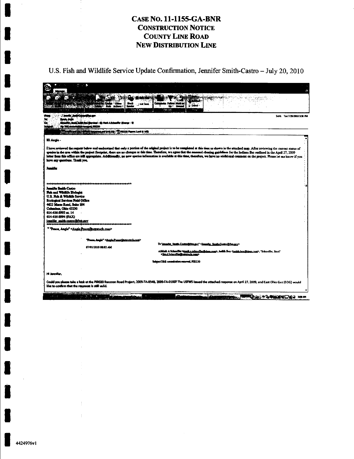U.S. Fish and Wildlife Service Update Confirmation, Jennifer Smith-Castro - July 20, 2010

| πē<br>فينا                                                | u Cruz<br>, Russ Automo<br><b>ALC: 45 - MINUTE</b><br>$-2.025$                                                                                                                                                                                                                                                                                                                                                                                                                                                                                                                                                 | <b>Black</b><br>Her has<br>trak E-mail | <b>Dottons</b>                                                    | <b>Subscribed</b><br>i ay |                                                                                                   |                              |
|-----------------------------------------------------------|----------------------------------------------------------------------------------------------------------------------------------------------------------------------------------------------------------------------------------------------------------------------------------------------------------------------------------------------------------------------------------------------------------------------------------------------------------------------------------------------------------------------------------------------------------------------------------------------------------------|----------------------------------------|-------------------------------------------------------------------|---------------------------|---------------------------------------------------------------------------------------------------|------------------------------|
| منادقت تسترن                                              | r, Bundi bağla Bağlayılanı - 4) Nask A Scheeffer (Stery<br>Ny Tital anomanana amin'ny fisika                                                                                                                                                                                                                                                                                                                                                                                                                                                                                                                   |                                        |                                                                   |                           |                                                                                                   | Servic Tue 7/20/2010 3:36 PM |
|                                                           | <b>The manufacturer is a contract to the co</b>                                                                                                                                                                                                                                                                                                                                                                                                                                                                                                                                                                | UZA News Lod &                         |                                                                   |                           |                                                                                                   |                              |
| ili Antie -                                               |                                                                                                                                                                                                                                                                                                                                                                                                                                                                                                                                                                                                                |                                        |                                                                   |                           |                                                                                                   |                              |
| have any mantions. Thunk you.                             | I have reviewed the request below and understand that only a portion of the original project is to be completed at this time as shown in the attached map. After reviewing the current status of<br>gracies in the area within the project footprint, there are no changes as this time. Therefore, we agree that the seasonal clearing guidelines for the indiana Bar outlined in the April 27, 2009<br>letter from this office are still appropriate. Additionally, no new species information is available at this time, therefore, we have no additional comment on the project. Please let me know if you |                                        |                                                                   |                           |                                                                                                   |                              |
| Jeansfer                                                  |                                                                                                                                                                                                                                                                                                                                                                                                                                                                                                                                                                                                                |                                        |                                                                   |                           |                                                                                                   |                              |
|                                                           |                                                                                                                                                                                                                                                                                                                                                                                                                                                                                                                                                                                                                |                                        |                                                                   |                           |                                                                                                   |                              |
| Jamifiz Smith-Castro                                      |                                                                                                                                                                                                                                                                                                                                                                                                                                                                                                                                                                                                                |                                        |                                                                   |                           |                                                                                                   |                              |
| Fish and Widthife Biologic<br>U.S. Rei & Wildlife Service |                                                                                                                                                                                                                                                                                                                                                                                                                                                                                                                                                                                                                |                                        |                                                                   |                           |                                                                                                   |                              |
| <b>Ecological Services Field Office</b>                   |                                                                                                                                                                                                                                                                                                                                                                                                                                                                                                                                                                                                                |                                        |                                                                   |                           |                                                                                                   |                              |
| 4625 Morse Road, Suite 104<br>Columbus, Ohio 43230        |                                                                                                                                                                                                                                                                                                                                                                                                                                                                                                                                                                                                                |                                        |                                                                   |                           |                                                                                                   |                              |
| 614-416-8993 xt. 14                                       |                                                                                                                                                                                                                                                                                                                                                                                                                                                                                                                                                                                                                |                                        |                                                                   |                           |                                                                                                   |                              |
| 614-416-8994 (FAX)<br>jennifer south-castro@fws.gov       |                                                                                                                                                                                                                                                                                                                                                                                                                                                                                                                                                                                                                |                                        |                                                                   |                           |                                                                                                   |                              |
|                                                           | " Teace, Angie" <angie peace@tetratech.com=""></angie>                                                                                                                                                                                                                                                                                                                                                                                                                                                                                                                                                         |                                        |                                                                   |                           |                                                                                                   |                              |
|                                                           | Toon, Angle" <anglepenne@intratch.com></anglepenne@intratch.com>                                                                                                                                                                                                                                                                                                                                                                                                                                                                                                                                               |                                        |                                                                   |                           |                                                                                                   |                              |
|                                                           | 07/01/2010 08:02 AM                                                                                                                                                                                                                                                                                                                                                                                                                                                                                                                                                                                            |                                        | To lemnifer Smith Castro@fwa.cov" Cleanifer Smith Castro@fwa.cov> |                           |                                                                                                   |                              |
|                                                           |                                                                                                                                                                                                                                                                                                                                                                                                                                                                                                                                                                                                                |                                        | Chrad Schaaffenfinatratech.com>                                   |                           | cchlask A Schoeffer Canadia achaeffer@dom.com>, Jodith Box Cudith box@dom.com>, "Schaeffer, Brad" |                              |
|                                                           |                                                                                                                                                                                                                                                                                                                                                                                                                                                                                                                                                                                                                |                                        | Subject T&E consultation renewal, PIR220                          |                           |                                                                                                   |                              |
| Hi Jernifer.                                              |                                                                                                                                                                                                                                                                                                                                                                                                                                                                                                                                                                                                                |                                        |                                                                   |                           |                                                                                                   |                              |
|                                                           |                                                                                                                                                                                                                                                                                                                                                                                                                                                                                                                                                                                                                |                                        |                                                                   |                           |                                                                                                   |                              |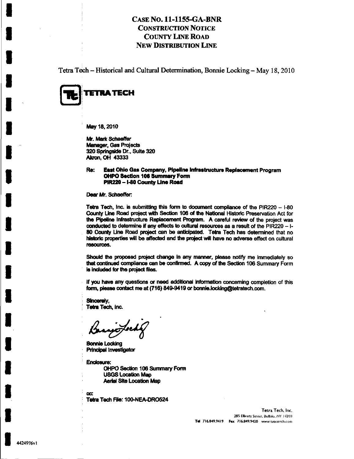Tetra Tech - Historical and Cultural Determination, Bonnie Locking - May 18,2010



May 18,2010

Mr. Mark Schaeffer Manager, Gas Projects 320 Springside Dr., Suite 320 **Akron, OH 43333** 

#### Re: East Ohio Gas Company, Pipeline Infrastructure Replacement Program OHPO Section 106 Summary Form PiR220 - I-80 County Line Road

Dear Mr. Schaeffer:

Tetra Tech, Inc. is submitting this form to document compliance of the PIR220  $-$  1-80 County Line Road project with Section 106 of the National Historic Preservation Act for the Pipeline infrastructure Replacement Program. A careful review of the project was conducted to determine if any effects to cultural resources as a result of the PIR220 -1-80 County Line Road project can be anticipated. Tetra Tech has determined that no historic properties will be affected and the project will have no adverse effect on cultural resources.

Should the proposed project change in any manner, please notify me immediately so that continued compliance can be confirmed. A copy of the Section 106 Summary Form is included for the project files.

If you have any questions or need additional information conceming completion of this form, please contact me at (716) 849-9419 or [bonnie.locking@tetratech.com.](mailto:bonnie.locking@tetratech.com)

Sincerely, Tetra Tech, Inc.

'U47

Bonnie Locking Principal Investigator

Endosure: OHPO Section 106 Summary Fomn USGS Location Map Aerial Site Location Map

cc: Tetra Tech File: 100-NEA-DRO524

> Tetra Tech, Inc. 285 Ellicott Street, Buffalo, NY 14203 Tel 716.849.9419 Fax 716.849.9420 www.tetratech.com

I

I

I

I

I

I

I

I

I

I

I

I

I

I

I

I

I

I

I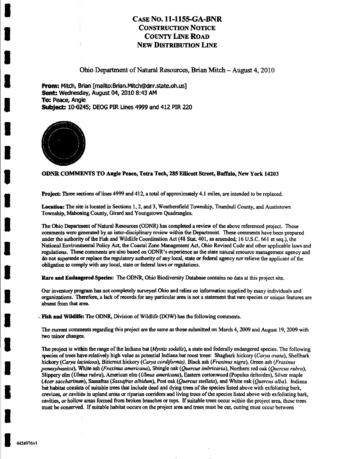Ohio Department of Natural Resources, Brian Mitch - August 4,2010

From: Mitch, Brian [mailto:Brian.Mitch@dnr.state.oh.us] Sent: Wednesday, August 04, 2010 8:43 AM **To: Peace, Angle** Subject: 10-0245; DEOG PIR Unes 4999 and 412 PIR 220



#### ODNR COMMENTS TO Angie Peace, Tetra Tech, 285 Ellicott Street, Buffalo, New York 14203

Project: Three sections of lines 4999 and 412, a total of approximately 4.1 miles, are intended to be replaced.

Location: The site is located in Sections 1,2, and 3, Weathersfield Township, Trumbull County, and Austintown Township, Mahoning County, Girard and Youngstown Quadrangles.

The Ohio Department of Natural Resources (ODNR) has completed a review of the above referenced project. These comments were generated by an inter-disciplinary review within the Department. These comments have been prepared under the authority of the Fish and Wildlife Coordination Act (48 Stat. 401, as amended; 16 U.S.C. 661 et seq.), the National Environmental Policy Act, the Coastal Zone Management Act, Ohio Revised Code and other applicable laws and regulations. These comments are also based on ODNR's experience as the state natural resource management agency and do not supersede or replace the regulatory authority of any local, state or federal agency nor relieve the applicant of the obligation to comply with any local, state or federal laws or regulations.

Rare and Endangered Species: The ODNR, Ohio Biodiversity Database contains no data at this project site.

Our invaitory projgram has not completely surveyed Ohio and relies on information supplied by many individuals and organizations. Therefore, a lack of records for any particular area is not a statement that rare species or unique features are absent from that area.

Fish and Wildlife: The ODNR, Division of Wildlife (DOW) has the following comments.

The current comments regarding this project are the same as those submitted on March 4,2009 and August 19, 2009 with two minor changes.

The project is within the range of the Indiana bat (*Myotis sodalis*), a state and federally endangered species. The following species of trees have relatively high value as potential Indiana bat roost trees: Shagbark hickory (Carya ovata), Shellbark hickory (Carya laciniosa), Bitternut hickory (Carya cordiformis), Black ash (Fraxinus nigra). Green ash (Fraxinus pennsylvanica), White ash (Fraxinus americana), Shingle oak (Quercus imbricaria), Northem red oak (Quercus rubra), Slippery elm (Ulmus rubra), American elm (Ulmus americana), Eastern cottonwood (Populus deltoides). Silver maple (Acer saccharinum). Sassafras (Sassafras albidum). Post oak (Quercus stellata), and White oak (Quercus alba). Indiana bat habitat consists of suitable trees that include dead and dying trees of the species listed above with exfoliating bark, crevices, or cavities in upland areas or riparian corridors and living trees of the species listed above with exfoliating bark, cavities, or hollow areas formed from broken branches or tops. If suitable trees occur within the project area, these trees must be conserved. If suitable habitat occurs on the project area and trees must be cut, cutting must occur between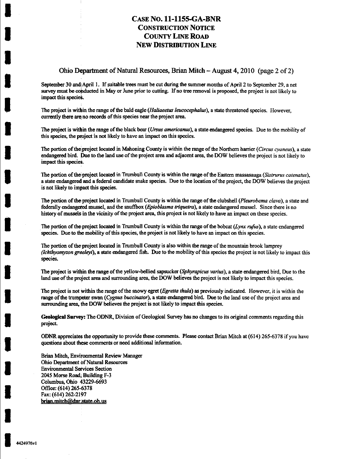#### Ohio Department of Natural Resources, Brian Mitch - August 4,2010 (page 2 of 2)

September 30 and! April 1. If suitable trees must be cut during the summer months of April 2 to September 29, a net survey must be conducted in May or June prior to cutting. If no tree removal is proposed, the project is not likely to impact this species.

The project is within the range of the bald eagle (*Haliaeetus leucocephalus*), a state threatened species. However, currently there are no records of this species near the project area.

The project is within the range of the black bear (Ursus americanus), a state endangered species. Due to the mobility of this species, the project is not likely to have an impact on this species.

The portion of the project located in Mahoning County is within the range of the Northern harrier (Circus cyaneus), a state endangered bird. Due to the land use of the project area and adjacent area, the DOW believes the project is not likely to impact this species.

The portion of the project located in Trumbull County is within the range of the Eastern massasauga (Sistrurus catenatus), a state endangered and a federal candidate snake species. Due to the location of the project, the DOW believes the project is not likely to impact this species.

The portion of the project located in Trumbull County is within the range of the clubshell (Pleurobema clava), a state and federally endangered mussel, and the snuffbox (Epioblasma triquetra), a state endangered mussel. Since there is no history of mussels in the vicinity of the project area, this project is not likely to have an impact on these species.

The portion of the project located in Trumbull County is within the range of the bobcat (Lynx rufus), a state endangered species. Due to the mobility of this species, the project is not likely to have an impact on this species.

The portion of the project located in Trumbull County is also within the range of the mountain brook lamprey (Ichthyomyzon greeleyi), a state endangered fish. Due to the mobility of this species the project is not likely to impact this species.

The project is within the range of the yellow-bellied sapsucker (Sphyrapicus varius), a state endangered bird. Due to the land use of the project area and surrounding area, the DOW believes the project is not likely to impact this species.

The project is not within the range of the snowy egret (Egretta thula) as previously indicated. However, it is within the range of the trumpeter swan (Cygnus buccinator), a state endangered bird. Due to the land use of the project area and surrounding area, the DOW believes the project is not likely to impact this species.

Geological Survey: The ODNR, Division of Geological Survey has no changes to its original comments regarding this project.

ODNR appreciates the opportunity to provide these comments. Please contact Brian Mitch at (614) 265-6378 if you have questions about these comments or need additional information.

Brian Mitch, Environmental Review Manager Ohio Department 6f Natural Resources **Environmental Services Section** 2045 Morse Road. Building F-3 Columbus, Ohio 43229-6693 Office: (614) 265-6378 Fax: (614) 262-2197 brian.mitch@dnr.state.oh.us

÷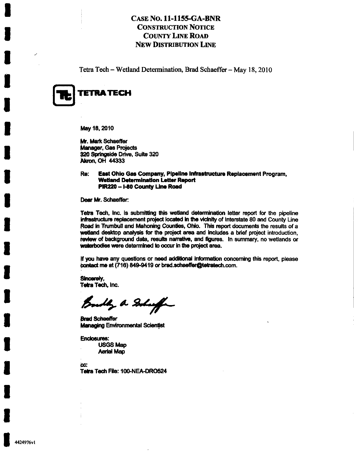Tetra Tech - Wetland Determination, Brad Schaeffer - May 18, 2010



I

May 18, 2010

Mr. Mark Schaeffer Manager, Gas Projects 320 Springside Drive, Suite 320 Akron, OH 44333

Re: East Ohio Gas Company, Pipeline Infrastructure Replacement Program, Wetland Determination Letter Report PIR220 -1-80 County Une Road

Dear Mr. Schaeffer:

Teba Tech, Inc. is submitting this wetland detennlnation letter report for the pipeline infrastructure replacement project located in the vicinity of Interstate 80 and County Line Road in Trumbull and Mahoning Counties, Ohio. This report documents the results of a wetland desktop analysis for the project area and includes a brief project introduction, review of background data, results narrative, and figures. In summary, no wetlands or waterbodies were determined to occur in the project area.

If you have any questions or need additional information concerning this report, please contact me at (716) 849-9419 or brad.schaeffer@tetratech.com.

Sincereiy, **Tetra Tech, Inc.** 

Bouldy a Solution

**Brad Schaeffer** Managing Environmental Scientist

Enclosures: USGS Map Aerial Map

bc: Tetra Tech File: 100-NEA-DRO524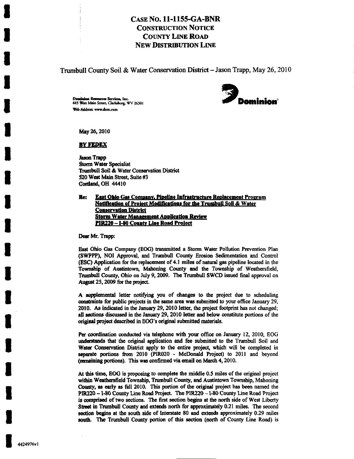Trumbull County Soil & Water Conservation District - Jason Trapp, May 26, 2010

Domiaios Resources Services, Inc. <br>44\$ Wen Main Street, Clarksburg, WV 26301 **19 inc.** Client Control of Main Summer Control of Main Summer Control of Main Summer Control of Main Summer Control of Main Summer Control of Ma Web Address: [www.dom.com](http://www.dom.com)



May 26,2010

#### <u>by Fedex</u>

Jason Trapp Storm Water Specialist Trumbull Soil & Water Conservation District S20 West Main Street, Suite #3 Gortland, OH 44410

#### Re: East Ohio Gas Company. Pipeline Infrastructure Replacement Program Notification of Project Modifications for the Trumbull Soil & Water Conservation District Storm Water Management Application Review PIR220 - 1-80 County Line Road Project

Dear Mr. Trapp:

East Ohio Gas Company (EOG) transmitted a Storm Water Pollution Prevention Plan (SWPPP), NOI Approval, and Trumbull Coimty Erosion Sedimentation and Control (ESC) Application for the replacement of 4.1 miles of natural gas pipeline located in the Township of Austintown, Mahoning County and the Township of Weathersfield, Trumbull County, Ohio on July 9, 2009. The Trumbull SWCD issued final approval on August 25,2009 for the project.

A supplemental letter notifying you of changes to the project due to scheduling constraints for public projects in the same area was submitted to your office January 29, 2010. As indicated in the January 29, 2010 letter, the project footprint has not changed; all sections discussed in the January 29, 2010 letter and below constitute portions of the original project described in EOG's original submitted materials.

Per coordination conducted via telephone with your office on January 12, 2010, EOG understands that the original application and fee submitted to the Trumbull Soil and Water Conservation District apply to the entire project, which will be completed in separate portions from 2010 (PIR020 - McDonald Project) to 2011 and beyond (remaining portions). This was confirmed via email on March 4,2010.

At this time, EOG is proposing to complete the middle 0.5 miles of the original project within Weathersfield Township, Trumbull County, and Austintown Township, Mahoning County, as early as fall 2010. This portion of die original project has been named the PIR220 - I-80 County Line Road Project. The PIR220 - I-80 County Line Road Project is comprised of two sections. The first section begins at the north side of West Liberty Street in Trumbull County and extends north for approximately 0.21 miles. The second section begins at the south side of Interstate 80 and extends approximately 0.29 miles south. The Trumbull County portion of this section (north of County Line Road) is

J.

I

I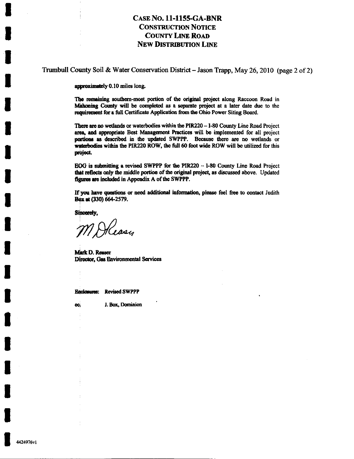Trumbull County Soil & Water Conservation District - Jason Trapp, May 26, 2010 (page 2 of 2)

approximately 0.10 miles long.

The remaining southern-most portion of the original project along Raccoon Road in Mahoning County will be completed as a separate project at a later date due to the requirement for a full Certificate Application from the Ohio Power Siting Board.

There are no wetlands or waterbodies within the PIR220 - I-80 County Line Road Project area, and appropriate Best Management Practices will be implemented for all project portions as described in the updated SWPPP. Because there are no wetlands or waterbodies within the PIR220 ROW, the full 60 foot wide ROW will be utilized for this project.

EOG is submitting a revised SWPPP for the PIR220 - I-80 County Line Road Project that reflects only the middle portion of the original project, as discussed above. Updated figures are included in Appendix A of the SWPPP.

If you have questions or need additional information, please feel free to contact Judith Box at (330) 664-2579.

Sincorely,

Heasy

Mark D. Reaser Director, Gas Environmental Services

**Enclosures:** Revised SWPPP

J. Box, Dominion CC.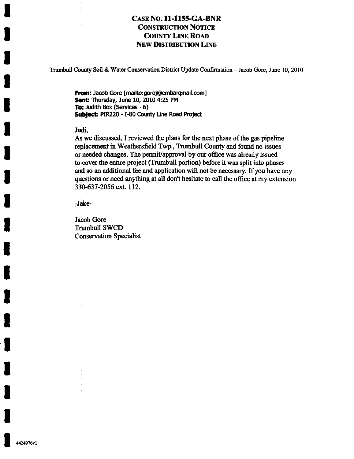Trumbull County Soil &; Water Conservation District Update Confirmation - Jacob Gore, June 10, 2010

From: Jacob Gore [[mailto:gorej@embarqmail.com\]](mailto:gorej@embarqmail.com) Sent: Thursday, June 10, 2010 4:25 PM To: Judith Box (Services - 6) Subject: PIR220 - I-80 County Line Road Project

#### Judi,

As we discussed, I reviewed the plans for the next phase of the gas pipeline replacement in Weathersfield Twp., Trumbull County and found no issues or needed changes. The permit/approval by our office was already issued to cover the entire project (Trumbull portion) before it was split into phases and so an additional fee and application will not be necessary. If you have any questions or need anything at all don't hesitate to call the office at my extension 330-637-2056 ext. 112.

-Jake-

Jacob Gore Trumbull SWCD Conservation Specialist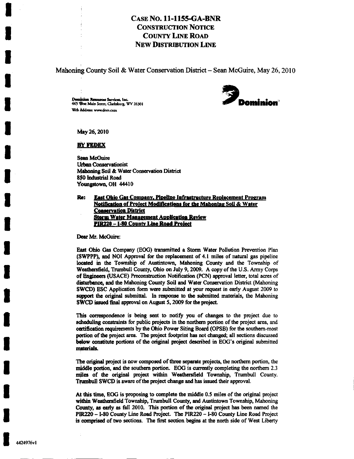Mahoning County Soil & Water Conservation District  $-$  Sean McGuire, May 26, 2010

Dominion Resources Services, Inc.<br>445 West Main Street, Clarksburg. WV 26301 **in the contract of the contract of the contract of the contract of the contract of the contract of the contract of the contract of the contract** Web Address: www.dom.com



May 26,2010

#### **BY FEDEX**

Sean McGuire Urban Conservationist Mahoning Soil & Water Conservation District 8\$0 bidustrial Road Youngstown, OH 44410

Re: East Ohio Gas Company. Pipeline Infrastructure Replacement Program Notification of Project Modifications for the Mahoning Soil & Water **Conservation District Storm Water Management Application Review** PIR220 -- I-80 County Line Road Project

Dear Mr. McGuire:

East Ohio Gas Company (EOG) transmitted a Storm Water Pollution Prevention Plan (SWPPP), and NOI Approval for the replacement of 4.1 miles of natural gas pipeline located in the Township of Austintown, Mahoning County and the Township of Weafliersfield, Trumbull County, Ohio on July 9, 2009. A copy of the U.S. Army Corps of Engmeers (USACE) Preconstruction Notification (PCN) approval letter, total acres of disturbance, and the Mahoning County Soil and Water Conservation District (Mahoning SWCD) ESC Application form were submitted at your request in early August 2009 to support the original submittal. In response to the submitted materials, the Mahoning SWCD issued final approval on August 5, 2009 for the project.

This correspondence is being sent to notify you of changes to the project due to scheduling constraints for public projects in the northern portion of the project area, and certification requirements by the Ohio Power Siting Board (OPSB) for the southern-most portion of the project area. The project footprint has not changed; all sections discussed below constitute portions of the original project described in EOG's original submitted materials.

The original project is now composed of three separate projects, the northern portion, the middle portion, and the southem portion. EOG is currentiy completing the northem 2.3 miles of the original project within Weathersfield Township, Trumbull County. Trumbull SWCD is aware of the project change and has issued their approval.

At this time, EOG is proposing to complete the middle 0.5 miles of the original project within Weathersfield Township, Trumbull County, and Austintown Township, Mahoning County, as early as fall 2010. This portion of the original project has been named the PIR220 -1-80 County Line Road Project. The P1R220 -1-80 County Line Road Project is comprised of two sections. The first section begins at the north side of West Liberty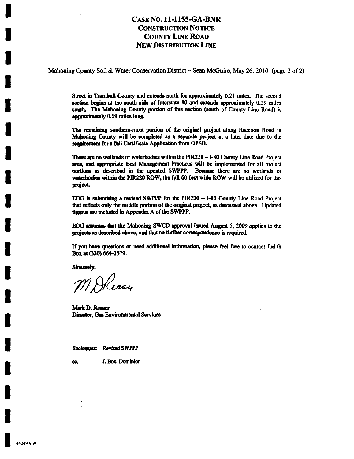Mahoning County Soil & Water Conservation District - Sean McGuire, May 26, 2010 (page 2 of 2)

Street in Trumbull County and extends north for approximately 0.21 miles. The second section begins at the south side of Interstate 80 and extends approximately 0.29 miles south. The Mahoning County portion of this section (south of County Line Road) is approximately 0.19 miles long.

The ranaining southem-most portion of the original project along Raccoon Road in Mahoning County will be completed as a separate project at a later date due to the requirement for a full Certificate Application from OPSB.

There are no wetlands or waterbodies within the PIR220 - I-80 County Line Road Project area, and appropriate Best Management Practices will be implemented for all project portions as described in the updated SWPPP. Because there are no wetlands or waterbodies within the PIR220 ROW, the full 60 foot wide ROW will be utilized for this project.

EOG is submitting a revised SWPPP for the PIR220 - I-80 County Line Road Project that reflects only the middle portion of the original project, as discussed above. Updated figures are included in Appendix A of the SWPPP.

BOG assumes that the Mahoning SWCD approval issued August 5, 2009 applies to the projects as described above, and that no further correspondence is required.

If you have questions or need additional information, please feel free to contact Judith Boxat(330)664-2S79.

Sincerely,

M Alcasy

Mark D. Reaser Director, Gas Environmental Services

Enclosures: Revised SWPPP

cc. J. Box, Dominion